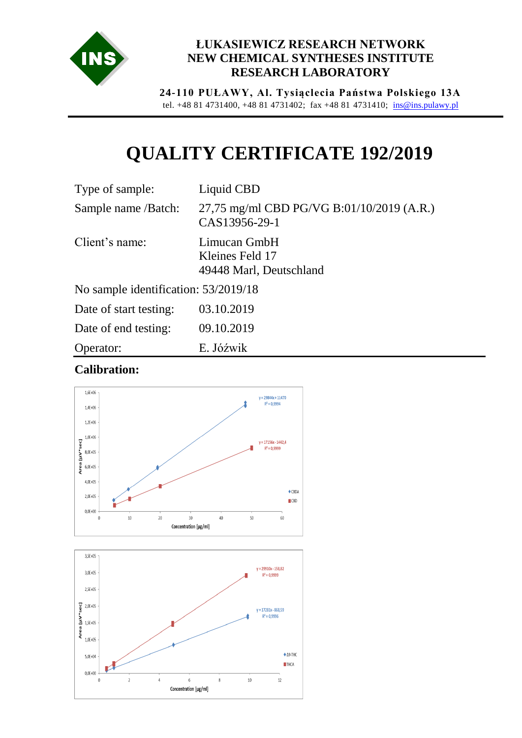

## **ŁUKASIEWICZ RESEARCH NETWORK NEW CHEMICAL SYNTHESES INSTITUTE RESEARCH LABORATORY**

**24-110 PUŁAWY, Al. Tysiąclecia Państwa Polskiego 13A** tel. +48 81 4731400, +48 81 4731402; fax +48 81 4731410; [ins@ins.pulawy.pl](mailto:ins@ins.pulawy.pl)

## **QUALITY CERTIFICATE 192/2019**

| Type of sample:                      | Liquid CBD                                                 |
|--------------------------------------|------------------------------------------------------------|
| Sample name /Batch:                  | 27,75 mg/ml CBD PG/VG B:01/10/2019 (A.R.)<br>CAS13956-29-1 |
| Client's name:                       | Limucan GmbH<br>Kleines Feld 17<br>49448 Marl, Deutschland |
| No sample identification: 53/2019/18 |                                                            |

| Date of start testing: | 03.10.2019 |
|------------------------|------------|
| Date of end testing:   | 09.10.2019 |
| Operator:              | E. Jóźwik  |

## **Calibration:**